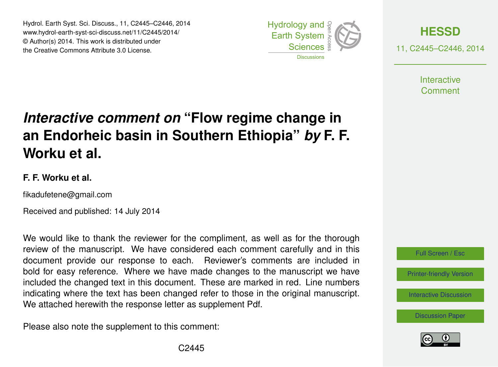Hydrol. Earth Syst. Sci. Discuss., 11, C2445–C2446, 2014 www.hydrol-earth-syst-sci-discuss.net/11/C2445/2014/ © Author(s) 2014. This work is distributed under the Creative Commons Attribute 3.0 License.





**Interactive** Comment

## *Interactive comment on* **"Flow regime change in an Endorheic basin in Southern Ethiopia"** *by* **F. F. Worku et al.**

## **F. F. Worku et al.**

fikadufetene@gmail.com

Received and published: 14 July 2014

We would like to thank the reviewer for the compliment, as well as for the thorough review of the manuscript. We have considered each comment carefully and in this document provide our response to each. Reviewer's comments are included in bold for easy reference. Where we have made changes to the manuscript we have included the changed text in this document. These are marked in red. Line numbers indicating where the text has been changed refer to those in the original manuscript. We attached herewith the response letter as supplement Pdf.

Please also note the supplement to this comment: